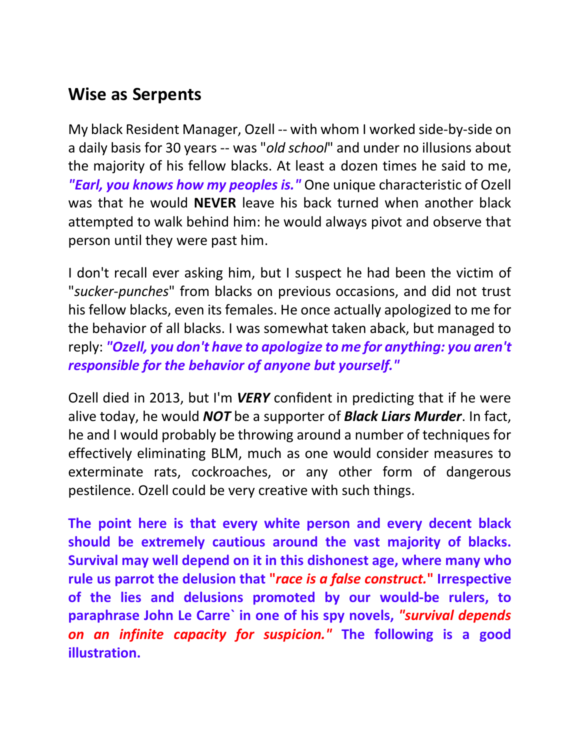## **Wise as Serpents**

My black Resident Manager, Ozell -- with whom I worked side-by-side on a daily basis for 30 years -- was "*old school*" and under no illusions about the majority of his fellow blacks. At least a dozen times he said to me, *"Earl, you knows how my peoples is."* One unique characteristic of Ozell was that he would **NEVER** leave his back turned when another black attempted to walk behind him: he would always pivot and observe that person until they were past him.

I don't recall ever asking him, but I suspect he had been the victim of "*sucker-punches*" from blacks on previous occasions, and did not trust his fellow blacks, even its females. He once actually apologized to me for the behavior of all blacks. I was somewhat taken aback, but managed to reply: *"Ozell, you don't have to apologize to me for anything: you aren't responsible for the behavior of anyone but yourself."*

Ozell died in 2013, but I'm *VERY* confident in predicting that if he were alive today, he would *NOT* be a supporter of *Black Liars Murder*. In fact, he and I would probably be throwing around a number of techniques for effectively eliminating BLM, much as one would consider measures to exterminate rats, cockroaches, or any other form of dangerous pestilence. Ozell could be very creative with such things.

**The point here is that every white person and every decent black should be extremely cautious around the vast majority of blacks. Survival may well depend on it in this dishonest age, where many who rule us parrot the delusion that "***race is a false construct.***" Irrespective of the lies and delusions promoted by our would-be rulers, to paraphrase John Le Carre` in one of his spy novels,** *"survival depends on an infinite capacity for suspicion."* **The following is a good illustration.**